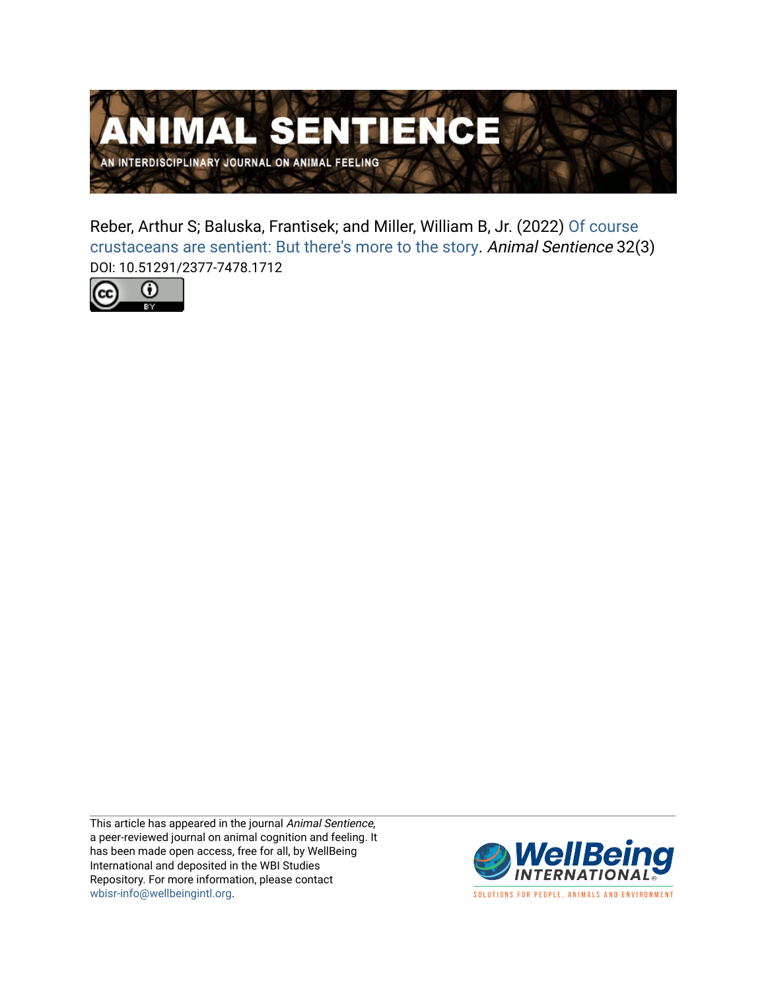

Reber, Arthur S; Baluska, Frantisek; and Miller, William B, Jr. (2022) [Of course](https://www.wellbeingintlstudiesrepository.org/animsent/vol7/iss32/3)  [crustaceans are sentient: But there's more to the story.](https://www.wellbeingintlstudiesrepository.org/animsent/vol7/iss32/3) Animal Sentience 32(3) DOI: 10.51291/2377-7478.1712



This article has appeared in the journal Animal Sentience, a peer-reviewed journal on animal cognition and feeling. It has been made open access, free for all, by WellBeing International and deposited in the WBI Studies Repository. For more information, please contact [wbisr-info@wellbeingintl.org](mailto:wbisr-info@wellbeingintl.org).



SOLUTIONS FOR PEOPLE, ANIMALS AND ENVIRONMENT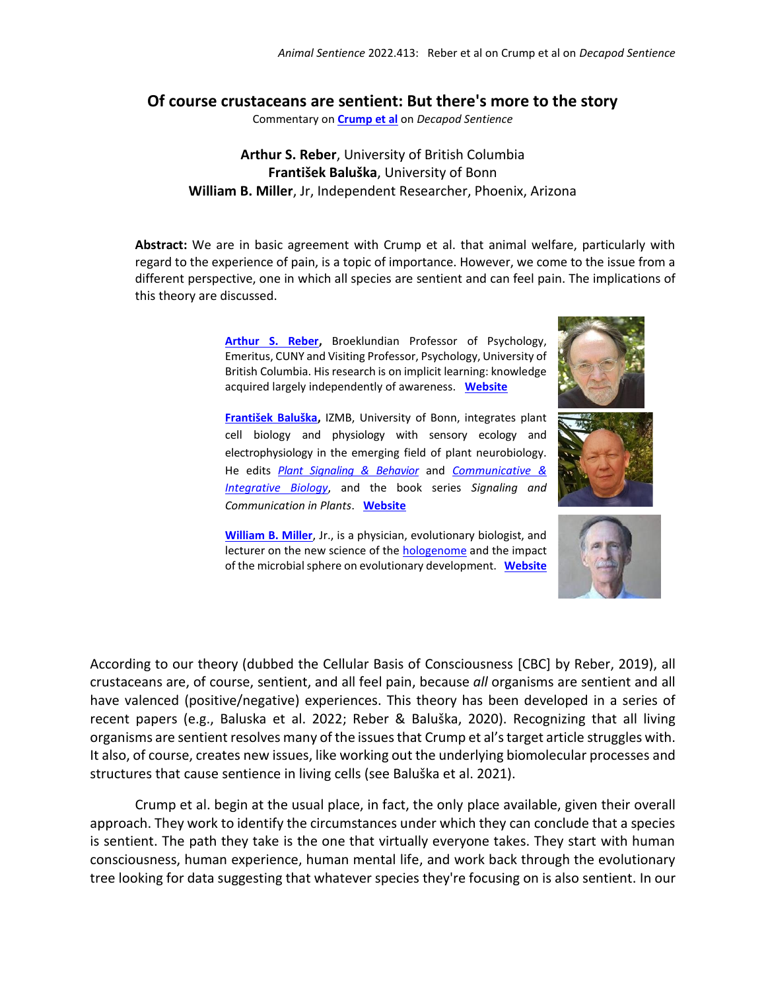## **Of course crustaceans are sentient: But there's more to the story**

Commentary on **[Crump et al](https://www.wellbeingintlstudiesrepository.org/animsent/vol7/iss32/1)** on *Decapod Sentience*

**Arthur S. Reber**, University of British Columbia **František Baluška**, University of Bonn **William B. Miller**, Jr, Independent Researcher, Phoenix, Arizona

**Abstract:** We are in basic agreement with Crump et al. that animal welfare, particularly with regard to the experience of pain, is a topic of importance. However, we come to the issue from a different perspective, one in which all species are sentient and can feel pain. The implications of this theory are discussed.

> **[Arthur S. Reber,](mailto:areber@brooklyn.cuny.edu)** Broeklundian Professor of Psychology, Emeritus, CUNY and Visiting Professor, Psychology, University of British Columbia. His research is on implicit learning: knowledge acquired largely independently of awareness. **[Website](https://psych.ubc.ca/profile/arthur-reber/)**

> **[František Baluška](mailto:baluska@uni-bonn.de),** IZMB, University of Bonn, integrates plant cell biology and physiology with sensory ecology and electrophysiology in the emerging field of plant neurobiology. He edits *[Plant Signaling & Behavior](https://www.ncbi.nlm.nih.gov/labs/journals/plant-signal-behav/)* and *[Communicative &](https://www.ncbi.nlm.nih.gov/labs/journals/commun-integr-biol/)  [Integrative Biology](https://www.ncbi.nlm.nih.gov/labs/journals/commun-integr-biol/)*, and the book series *Signaling and Communication in Plants*. **[Website](http://ds9.botanik.uni-bonn.de/zellbio/AG-Baluska-Volkmann/)**



**[William B. Miller](mailto:wbmiller1@cox.net)**, Jr., is a physician, evolutionary biologist, and lecturer on the new science of the **hologenome** and the impact of the microbial sphere on evolutionary development. **[Website](https://humansandnature.org/william-b-miller-jr/)**



According to our theory (dubbed the Cellular Basis of Consciousness [CBC] by Reber, 2019), all crustaceans are, of course, sentient, and all feel pain, because *all* organisms are sentient and all have valenced (positive/negative) experiences. This theory has been developed in a series of recent papers (e.g., Baluska et al. 2022; Reber & Baluška, 2020). Recognizing that all living organisms are sentient resolves many of the issues that Crump et al's target article struggles with. It also, of course, creates new issues, like working out the underlying biomolecular processes and structures that cause sentience in living cells (see Baluška et al. 2021).

Crump et al. begin at the usual place, in fact, the only place available, given their overall approach. They work to identify the circumstances under which they can conclude that a species is sentient. The path they take is the one that virtually everyone takes. They start with human consciousness, human experience, human mental life, and work back through the evolutionary tree looking for data suggesting that whatever species they're focusing on is also sentient. In our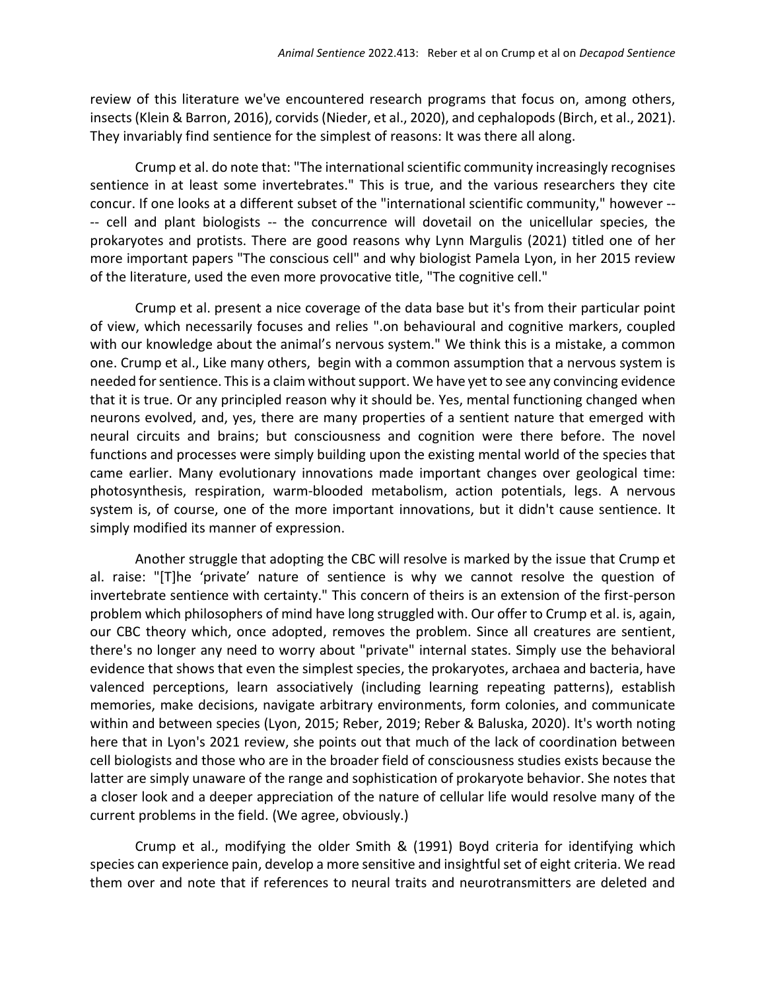review of this literature we've encountered research programs that focus on, among others, insects (Klein & Barron, 2016), corvids(Nieder, et al., 2020), and cephalopods(Birch, et al., 2021). They invariably find sentience for the simplest of reasons: It was there all along.

Crump et al. do note that: "The international scientific community increasingly recognises sentience in at least some invertebrates." This is true, and the various researchers they cite concur. If one looks at a different subset of the "international scientific community," however -- -- cell and plant biologists -- the concurrence will dovetail on the unicellular species, the prokaryotes and protists. There are good reasons why Lynn Margulis (2021) titled one of her more important papers "The conscious cell" and why biologist Pamela Lyon, in her 2015 review of the literature, used the even more provocative title, "The cognitive cell."

Crump et al. present a nice coverage of the data base but it's from their particular point of view, which necessarily focuses and relies ".on behavioural and cognitive markers, coupled with our knowledge about the animal's nervous system." We think this is a mistake, a common one. Crump et al., Like many others, begin with a common assumption that a nervous system is needed for sentience. This is a claim without support. We have yet to see any convincing evidence that it is true. Or any principled reason why it should be. Yes, mental functioning changed when neurons evolved, and, yes, there are many properties of a sentient nature that emerged with neural circuits and brains; but consciousness and cognition were there before. The novel functions and processes were simply building upon the existing mental world of the species that came earlier. Many evolutionary innovations made important changes over geological time: photosynthesis, respiration, warm-blooded metabolism, action potentials, legs. A nervous system is, of course, one of the more important innovations, but it didn't cause sentience. It simply modified its manner of expression.

Another struggle that adopting the CBC will resolve is marked by the issue that Crump et al. raise: "[T]he 'private' nature of sentience is why we cannot resolve the question of invertebrate sentience with certainty." This concern of theirs is an extension of the first-person problem which philosophers of mind have long struggled with. Our offer to Crump et al. is, again, our CBC theory which, once adopted, removes the problem. Since all creatures are sentient, there's no longer any need to worry about "private" internal states. Simply use the behavioral evidence that shows that even the simplest species, the prokaryotes, archaea and bacteria, have valenced perceptions, learn associatively (including learning repeating patterns), establish memories, make decisions, navigate arbitrary environments, form colonies, and communicate within and between species (Lyon, 2015; Reber, 2019; Reber & Baluska, 2020). It's worth noting here that in Lyon's 2021 review, she points out that much of the lack of coordination between cell biologists and those who are in the broader field of consciousness studies exists because the latter are simply unaware of the range and sophistication of prokaryote behavior. She notes that a closer look and a deeper appreciation of the nature of cellular life would resolve many of the current problems in the field. (We agree, obviously.)

Crump et al., modifying the older Smith & (1991) Boyd criteria for identifying which species can experience pain, develop a more sensitive and insightful set of eight criteria. We read them over and note that if references to neural traits and neurotransmitters are deleted and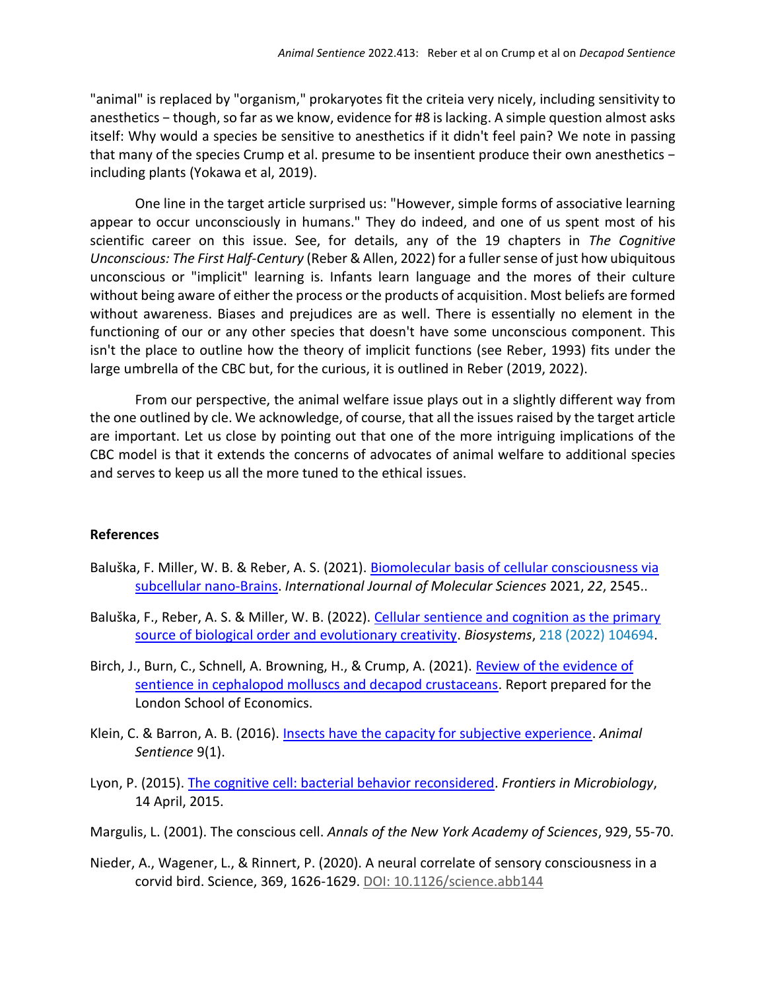"animal" is replaced by "organism," prokaryotes fit the criteia very nicely, including sensitivity to anesthetics − though, so far as we know, evidence for #8 is lacking. A simple question almost asks itself: Why would a species be sensitive to anesthetics if it didn't feel pain? We note in passing that many of the species Crump et al. presume to be insentient produce their own anesthetics − including plants (Yokawa et al, 2019).

One line in the target article surprised us: "However, simple forms of associative learning appear to occur unconsciously in humans." They do indeed, and one of us spent most of his scientific career on this issue. See, for details, any of the 19 chapters in *The Cognitive Unconscious: The First Half-Century* (Reber & Allen, 2022) for a fuller sense of just how ubiquitous unconscious or "implicit" learning is. Infants learn language and the mores of their culture without being aware of either the process or the products of acquisition. Most beliefs are formed without awareness. Biases and prejudices are as well. There is essentially no element in the functioning of our or any other species that doesn't have some unconscious component. This isn't the place to outline how the theory of implicit functions (see Reber, 1993) fits under the large umbrella of the CBC but, for the curious, it is outlined in Reber (2019, 2022).

From our perspective, the animal welfare issue plays out in a slightly different way from the one outlined by cle. We acknowledge, of course, that all the issues raised by the target article are important. Let us close by pointing out that one of the more intriguing implications of the CBC model is that it extends the concerns of advocates of animal welfare to additional species and serves to keep us all the more tuned to the ethical issues.

## **References**

- Baluška, F. Miller, W. B. & Reber, A. S. (2021). [Biomolecular basis of cellular consciousness via](https://doi.org/10.3390/ijms22052545)  [subcellular nano-Brains.](https://doi.org/10.3390/ijms22052545) *International Journal of Molecular Sciences* 2021, *22*, 2545..
- Baluška, F., Reber, A. S. & Miller, W. B. (2022). Cellular sentience and cognition as the primary [source of biological order and evolutionary creativity.](https://doi.org/10.1016/j.biosystems.2022.104694) *Biosystems*, 218 (2022) 104694.
- Birch, J., Burn, C., Schnell, A. Browning, H., & Crump, A. (2021). Review of the evidence of [sentience in cephalopod molluscs and decapod crustaceans.](https://www.researchgate.net/profile/Charlotte-Burn/publication/356459802_Review_of_the_Evidence_of_Sentience_in_Cephalopod_Molluscs_and_Decapod_Crustaceans/links/619cc06ad7d1af224b1a513d/Review-of-the-Evidence-of-Sentience-in-Cephalopod-Molluscs-and-Decapod-Crustaceans.pdf) Report prepared for the London School of Economics.
- Klein, C. & Barron, A. B. (2016). [Insects have the capacity for subjective experience.](https://www.wellbeingintlstudiesrepository.org/animsent/vol1/iss9/1/) *Animal Sentience* 9(1).
- Lyon, P. (2015). [The cognitive cell: bacterial behavior reconsidered.](https://doi.org/10.3389/fmicb.2015.00264) *Frontiers in Microbiology*, 14 April, 2015.
- Margulis, L. (2001). The conscious cell. *Annals of the New York Academy of Sciences*, 929, 55-70.
- Nieder, A., Wagener, L., & Rinnert, P. (2020). A neural correlate of sensory consciousness in a corvid bird. Science, 369, 1626-1629. [DOI: 10.1126/science.abb144](https://doi.org/10.1126/science.abb1447)